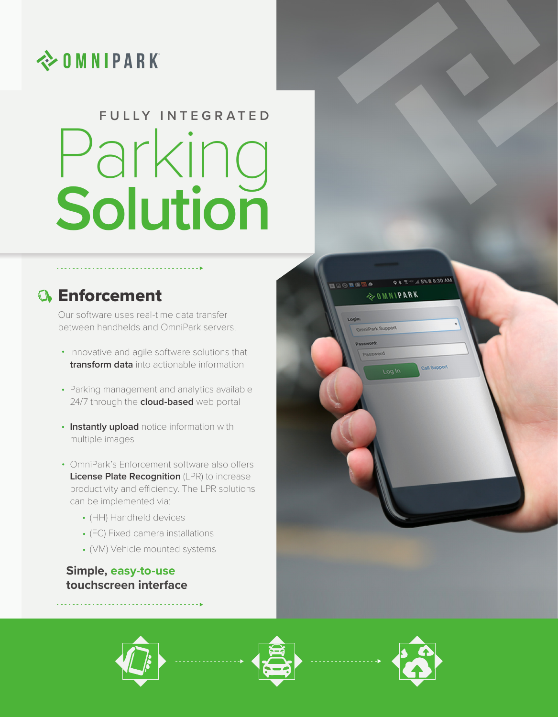

# Parking **Solution FULLY INTEGRATED**

# **Enforcement**

Our software uses real-time data transfer between handhelds and OmniPark servers.

- Innovative and agile software solutions that **transform data** into actionable information
- Parking management and analytics available 24/7 through the **cloud-based** web portal
- **Instantly upload** notice information with multiple images
- OmniPark's Enforcement software also offers **License Plate Recognition** (LPR) to increase productivity and efficiency. The LPR solutions can be implemented via:
	- (HH) Handheld devices
	- (FC) Fixed camera installations
	- (VM) Vehicle mounted systems

## **Simple, easy-to-use touchscreen interface**